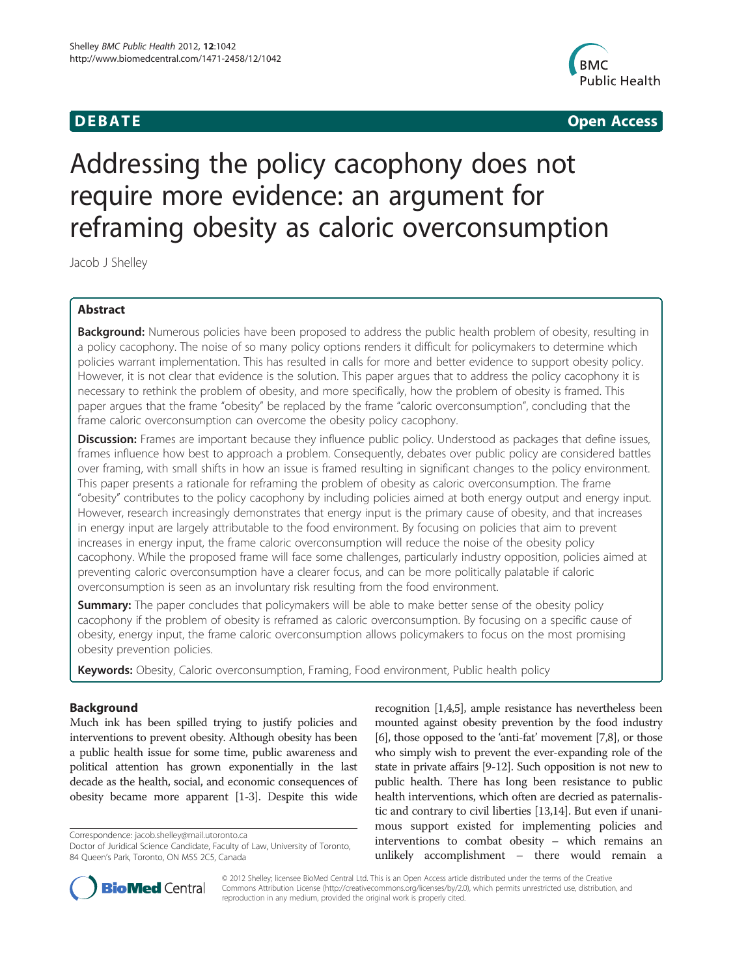

**DEBATE CONSIDERED ACCESS Open Access** 

# Addressing the policy cacophony does not require more evidence: an argument for reframing obesity as caloric overconsumption

Jacob J Shelley

# Abstract

Background: Numerous policies have been proposed to address the public health problem of obesity, resulting in a policy cacophony. The noise of so many policy options renders it difficult for policymakers to determine which policies warrant implementation. This has resulted in calls for more and better evidence to support obesity policy. However, it is not clear that evidence is the solution. This paper argues that to address the policy cacophony it is necessary to rethink the problem of obesity, and more specifically, how the problem of obesity is framed. This paper argues that the frame "obesity" be replaced by the frame "caloric overconsumption", concluding that the frame caloric overconsumption can overcome the obesity policy cacophony.

**Discussion:** Frames are important because they influence public policy. Understood as packages that define issues, frames influence how best to approach a problem. Consequently, debates over public policy are considered battles over framing, with small shifts in how an issue is framed resulting in significant changes to the policy environment. This paper presents a rationale for reframing the problem of obesity as caloric overconsumption. The frame "obesity" contributes to the policy cacophony by including policies aimed at both energy output and energy input. However, research increasingly demonstrates that energy input is the primary cause of obesity, and that increases in energy input are largely attributable to the food environment. By focusing on policies that aim to prevent increases in energy input, the frame caloric overconsumption will reduce the noise of the obesity policy cacophony. While the proposed frame will face some challenges, particularly industry opposition, policies aimed at preventing caloric overconsumption have a clearer focus, and can be more politically palatable if caloric overconsumption is seen as an involuntary risk resulting from the food environment.

**Summary:** The paper concludes that policymakers will be able to make better sense of the obesity policy cacophony if the problem of obesity is reframed as caloric overconsumption. By focusing on a specific cause of obesity, energy input, the frame caloric overconsumption allows policymakers to focus on the most promising obesity prevention policies.

Keywords: Obesity, Caloric overconsumption, Framing, Food environment, Public health policy

# Background

Much ink has been spilled trying to justify policies and interventions to prevent obesity. Although obesity has been a public health issue for some time, public awareness and political attention has grown exponentially in the last decade as the health, social, and economic consequences of obesity became more apparent [\[1-3\]](#page-5-0). Despite this wide

Correspondence: [jacob.shelley@mail.utoronto.ca](mailto:jacob.shelley@mail.utoronto.ca)

recognition [\[1,4,5](#page-5-0)], ample resistance has nevertheless been mounted against obesity prevention by the food industry [[6](#page-5-0)], those opposed to the 'anti-fat' movement [\[7,8\]](#page-5-0), or those who simply wish to prevent the ever-expanding role of the state in private affairs [[9-12](#page-5-0)]. Such opposition is not new to public health. There has long been resistance to public health interventions, which often are decried as paternalistic and contrary to civil liberties [\[13,14\]](#page-5-0). But even if unanimous support existed for implementing policies and interventions to combat obesity – which remains an unlikely accomplishment – there would remain a



© 2012 Shelley; licensee BioMed Central Ltd. This is an Open Access article distributed under the terms of the Creative Commons Attribution License [\(http://creativecommons.org/licenses/by/2.0\)](http://creativecommons.org/licenses/by/2.0), which permits unrestricted use, distribution, and reproduction in any medium, provided the original work is properly cited.

Doctor of Juridical Science Candidate, Faculty of Law, University of Toronto, 84 Queen's Park, Toronto, ON M5S 2C5, Canada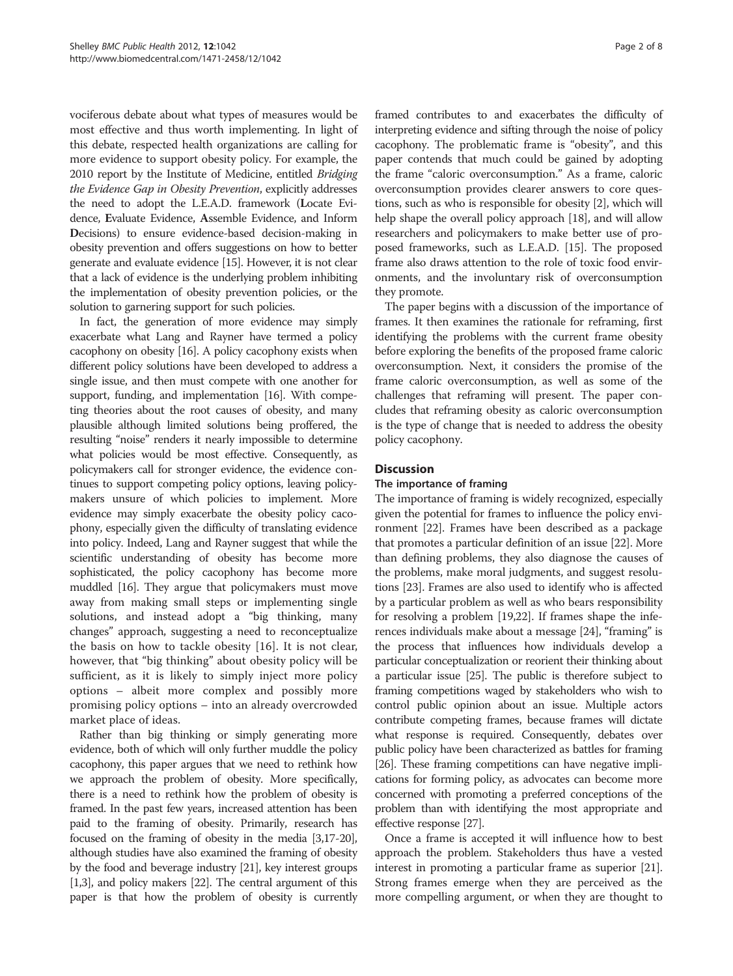vociferous debate about what types of measures would be most effective and thus worth implementing. In light of this debate, respected health organizations are calling for more evidence to support obesity policy. For example, the 2010 report by the Institute of Medicine, entitled Bridging the Evidence Gap in Obesity Prevention, explicitly addresses the need to adopt the L.E.A.D. framework (Locate Evidence, Evaluate Evidence, Assemble Evidence, and Inform Decisions) to ensure evidence-based decision-making in obesity prevention and offers suggestions on how to better generate and evaluate evidence [\[15\]](#page-5-0). However, it is not clear that a lack of evidence is the underlying problem inhibiting the implementation of obesity prevention policies, or the solution to garnering support for such policies.

In fact, the generation of more evidence may simply exacerbate what Lang and Rayner have termed a policy cacophony on obesity [\[16\]](#page-5-0). A policy cacophony exists when different policy solutions have been developed to address a single issue, and then must compete with one another for support, funding, and implementation [[16](#page-5-0)]. With competing theories about the root causes of obesity, and many plausible although limited solutions being proffered, the resulting "noise" renders it nearly impossible to determine what policies would be most effective. Consequently, as policymakers call for stronger evidence, the evidence continues to support competing policy options, leaving policymakers unsure of which policies to implement. More evidence may simply exacerbate the obesity policy cacophony, especially given the difficulty of translating evidence into policy. Indeed, Lang and Rayner suggest that while the scientific understanding of obesity has become more sophisticated, the policy cacophony has become more muddled [[16](#page-5-0)]. They argue that policymakers must move away from making small steps or implementing single solutions, and instead adopt a "big thinking, many changes" approach, suggesting a need to reconceptualize the basis on how to tackle obesity [[16\]](#page-5-0). It is not clear, however, that "big thinking" about obesity policy will be sufficient, as it is likely to simply inject more policy options – albeit more complex and possibly more promising policy options – into an already overcrowded market place of ideas.

Rather than big thinking or simply generating more evidence, both of which will only further muddle the policy cacophony, this paper argues that we need to rethink how we approach the problem of obesity. More specifically, there is a need to rethink how the problem of obesity is framed. In the past few years, increased attention has been paid to the framing of obesity. Primarily, research has focused on the framing of obesity in the media [\[3,17-20](#page-5-0)], although studies have also examined the framing of obesity by the food and beverage industry [\[21](#page-5-0)], key interest groups [[1,3](#page-5-0)], and policy makers [[22](#page-5-0)]. The central argument of this paper is that how the problem of obesity is currently

framed contributes to and exacerbates the difficulty of interpreting evidence and sifting through the noise of policy cacophony. The problematic frame is "obesity", and this paper contends that much could be gained by adopting the frame "caloric overconsumption." As a frame, caloric overconsumption provides clearer answers to core questions, such as who is responsible for obesity [\[2\]](#page-5-0), which will help shape the overall policy approach [\[18\]](#page-5-0), and will allow researchers and policymakers to make better use of proposed frameworks, such as L.E.A.D. [\[15\]](#page-5-0). The proposed frame also draws attention to the role of toxic food environments, and the involuntary risk of overconsumption they promote.

The paper begins with a discussion of the importance of frames. It then examines the rationale for reframing, first identifying the problems with the current frame obesity before exploring the benefits of the proposed frame caloric overconsumption. Next, it considers the promise of the frame caloric overconsumption, as well as some of the challenges that reframing will present. The paper concludes that reframing obesity as caloric overconsumption is the type of change that is needed to address the obesity policy cacophony.

# **Discussion**

#### The importance of framing

The importance of framing is widely recognized, especially given the potential for frames to influence the policy environment [[22](#page-5-0)]. Frames have been described as a package that promotes a particular definition of an issue [\[22\]](#page-5-0). More than defining problems, they also diagnose the causes of the problems, make moral judgments, and suggest resolutions [\[23\]](#page-5-0). Frames are also used to identify who is affected by a particular problem as well as who bears responsibility for resolving a problem [[19,22\]](#page-5-0). If frames shape the inferences individuals make about a message [\[24\]](#page-5-0), "framing" is the process that influences how individuals develop a particular conceptualization or reorient their thinking about a particular issue [\[25\]](#page-6-0). The public is therefore subject to framing competitions waged by stakeholders who wish to control public opinion about an issue. Multiple actors contribute competing frames, because frames will dictate what response is required. Consequently, debates over public policy have been characterized as battles for framing [[26](#page-6-0)]. These framing competitions can have negative implications for forming policy, as advocates can become more concerned with promoting a preferred conceptions of the problem than with identifying the most appropriate and effective response [\[27\]](#page-6-0).

Once a frame is accepted it will influence how to best approach the problem. Stakeholders thus have a vested interest in promoting a particular frame as superior [[21](#page-5-0)]. Strong frames emerge when they are perceived as the more compelling argument, or when they are thought to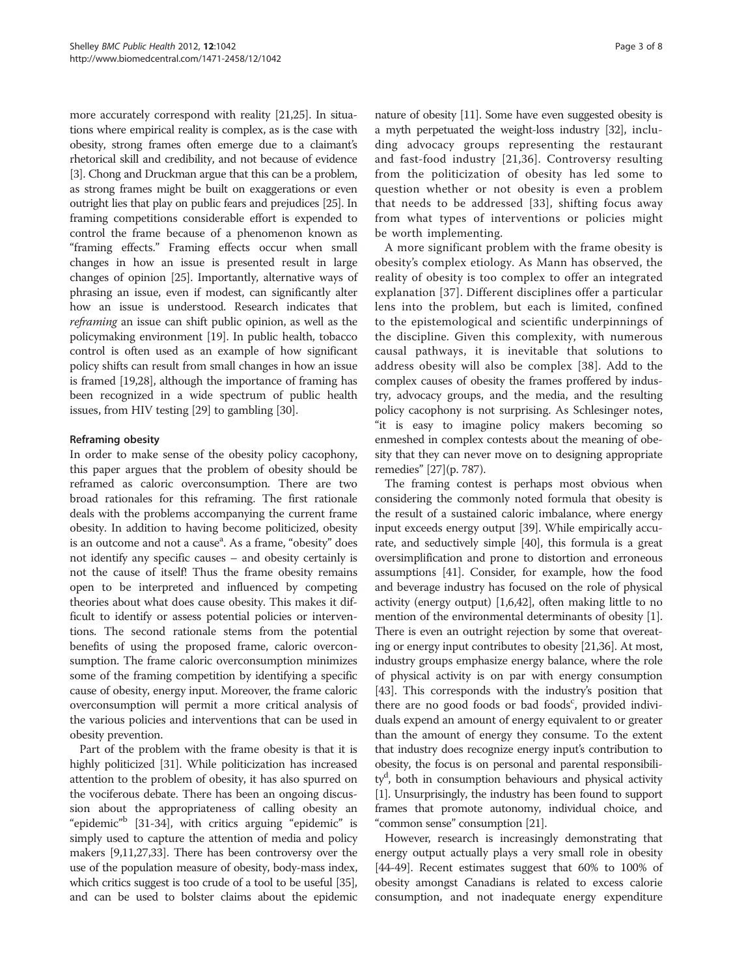more accurately correspond with reality [[21](#page-5-0)[,25\]](#page-6-0). In situations where empirical reality is complex, as is the case with obesity, strong frames often emerge due to a claimant's rhetorical skill and credibility, and not because of evidence [[3](#page-5-0)]. Chong and Druckman argue that this can be a problem, as strong frames might be built on exaggerations or even outright lies that play on public fears and prejudices [\[25](#page-6-0)]. In framing competitions considerable effort is expended to control the frame because of a phenomenon known as "framing effects." Framing effects occur when small changes in how an issue is presented result in large changes of opinion [[25\]](#page-6-0). Importantly, alternative ways of phrasing an issue, even if modest, can significantly alter how an issue is understood. Research indicates that reframing an issue can shift public opinion, as well as the policymaking environment [\[19\]](#page-5-0). In public health, tobacco control is often used as an example of how significant policy shifts can result from small changes in how an issue is framed [\[19,](#page-5-0)[28](#page-6-0)], although the importance of framing has been recognized in a wide spectrum of public health issues, from HIV testing [[29](#page-6-0)] to gambling [\[30](#page-6-0)].

# Reframing obesity

In order to make sense of the obesity policy cacophony, this paper argues that the problem of obesity should be reframed as caloric overconsumption. There are two broad rationales for this reframing. The first rationale deals with the problems accompanying the current frame obesity. In addition to having become politicized, obesity is an outcome and not a cause<sup>a</sup>. As a frame, "obesity" does not identify any specific causes – and obesity certainly is not the cause of itself! Thus the frame obesity remains open to be interpreted and influenced by competing theories about what does cause obesity. This makes it difficult to identify or assess potential policies or interventions. The second rationale stems from the potential benefits of using the proposed frame, caloric overconsumption. The frame caloric overconsumption minimizes some of the framing competition by identifying a specific cause of obesity, energy input. Moreover, the frame caloric overconsumption will permit a more critical analysis of the various policies and interventions that can be used in obesity prevention.

Part of the problem with the frame obesity is that it is highly politicized [\[31\]](#page-6-0). While politicization has increased attention to the problem of obesity, it has also spurred on the vociferous debate. There has been an ongoing discussion about the appropriateness of calling obesity an "epidemic"<sup>b</sup> [\[31](#page-6-0)-[34](#page-6-0)], with critics arguing "epidemic" is simply used to capture the attention of media and policy makers [\[9,11,](#page-5-0)[27,33](#page-6-0)]. There has been controversy over the use of the population measure of obesity, body-mass index, which critics suggest is too crude of a tool to be useful [\[35](#page-6-0)], and can be used to bolster claims about the epidemic

nature of obesity [\[11](#page-5-0)]. Some have even suggested obesity is a myth perpetuated the weight-loss industry [[32](#page-6-0)], including advocacy groups representing the restaurant and fast-food industry [\[21](#page-5-0),[36\]](#page-6-0). Controversy resulting from the politicization of obesity has led some to question whether or not obesity is even a problem that needs to be addressed [\[33\]](#page-6-0), shifting focus away from what types of interventions or policies might be worth implementing.

A more significant problem with the frame obesity is obesity's complex etiology. As Mann has observed, the reality of obesity is too complex to offer an integrated explanation [\[37\]](#page-6-0). Different disciplines offer a particular lens into the problem, but each is limited, confined to the epistemological and scientific underpinnings of the discipline. Given this complexity, with numerous causal pathways, it is inevitable that solutions to address obesity will also be complex [[38](#page-6-0)]. Add to the complex causes of obesity the frames proffered by industry, advocacy groups, and the media, and the resulting policy cacophony is not surprising. As Schlesinger notes, "it is easy to imagine policy makers becoming so enmeshed in complex contests about the meaning of obesity that they can never move on to designing appropriate remedies" [[27](#page-6-0)](p. 787).

The framing contest is perhaps most obvious when considering the commonly noted formula that obesity is the result of a sustained caloric imbalance, where energy input exceeds energy output [\[39\]](#page-6-0). While empirically accurate, and seductively simple [\[40](#page-6-0)], this formula is a great oversimplification and prone to distortion and erroneous assumptions [\[41](#page-6-0)]. Consider, for example, how the food and beverage industry has focused on the role of physical activity (energy output) [\[1,6,](#page-5-0)[42](#page-6-0)], often making little to no mention of the environmental determinants of obesity [[1](#page-5-0)]. There is even an outright rejection by some that overeating or energy input contributes to obesity [\[21,](#page-5-0)[36](#page-6-0)]. At most, industry groups emphasize energy balance, where the role of physical activity is on par with energy consumption [[43](#page-6-0)]. This corresponds with the industry's position that there are no good foods or bad foods<sup>c</sup>, provided individuals expend an amount of energy equivalent to or greater than the amount of energy they consume. To the extent that industry does recognize energy input's contribution to obesity, the focus is on personal and parental responsibility<sup>d</sup>, both in consumption behaviours and physical activity [[1](#page-5-0)]. Unsurprisingly, the industry has been found to support frames that promote autonomy, individual choice, and "common sense" consumption [\[21\]](#page-5-0).

However, research is increasingly demonstrating that energy output actually plays a very small role in obesity [[44](#page-6-0)-[49\]](#page-6-0). Recent estimates suggest that 60% to 100% of obesity amongst Canadians is related to excess calorie consumption, and not inadequate energy expenditure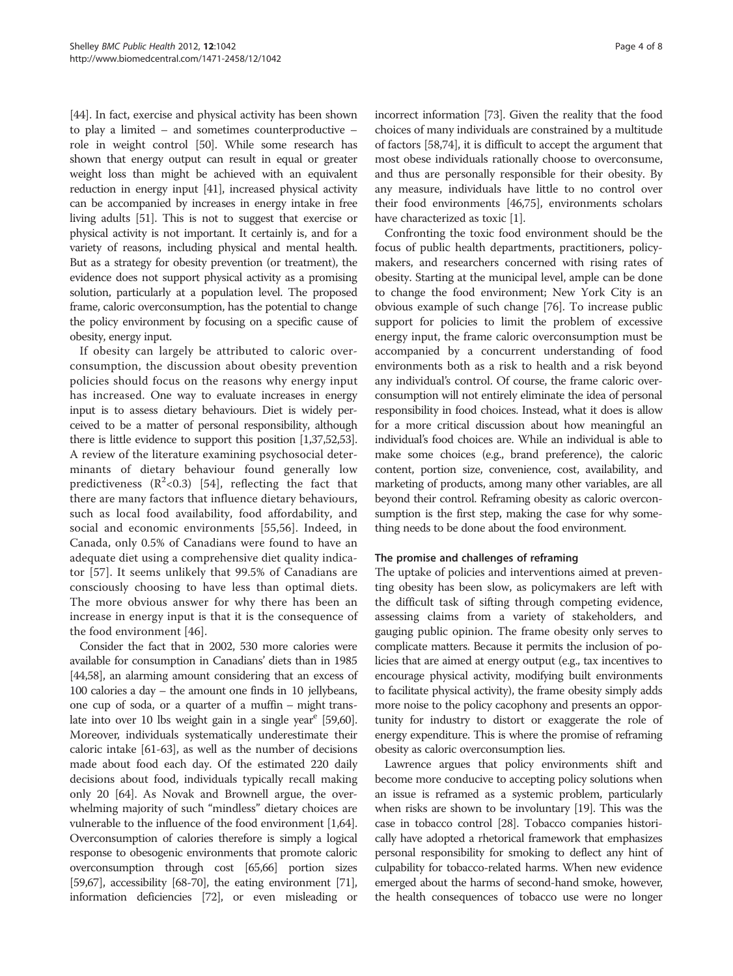[[44](#page-6-0)]. In fact, exercise and physical activity has been shown to play a limited – and sometimes counterproductive – role in weight control [[50](#page-6-0)]. While some research has shown that energy output can result in equal or greater weight loss than might be achieved with an equivalent reduction in energy input [\[41\]](#page-6-0), increased physical activity can be accompanied by increases in energy intake in free living adults [\[51\]](#page-6-0). This is not to suggest that exercise or physical activity is not important. It certainly is, and for a variety of reasons, including physical and mental health. But as a strategy for obesity prevention (or treatment), the evidence does not support physical activity as a promising solution, particularly at a population level. The proposed frame, caloric overconsumption, has the potential to change the policy environment by focusing on a specific cause of obesity, energy input.

If obesity can largely be attributed to caloric overconsumption, the discussion about obesity prevention policies should focus on the reasons why energy input has increased. One way to evaluate increases in energy input is to assess dietary behaviours. Diet is widely perceived to be a matter of personal responsibility, although there is little evidence to support this position [[1](#page-5-0)[,37,52,53](#page-6-0)]. A review of the literature examining psychosocial determinants of dietary behaviour found generally low predictiveness  $(R^2<0.3)$  [[54\]](#page-6-0), reflecting the fact that there are many factors that influence dietary behaviours, such as local food availability, food affordability, and social and economic environments [[55,56\]](#page-6-0). Indeed, in Canada, only 0.5% of Canadians were found to have an adequate diet using a comprehensive diet quality indicator [[57\]](#page-6-0). It seems unlikely that 99.5% of Canadians are consciously choosing to have less than optimal diets. The more obvious answer for why there has been an increase in energy input is that it is the consequence of the food environment [[46\]](#page-6-0).

Consider the fact that in 2002, 530 more calories were available for consumption in Canadians' diets than in 1985 [[44,58\]](#page-6-0), an alarming amount considering that an excess of 100 calories a day – the amount one finds in 10 jellybeans, one cup of soda, or a quarter of a muffin – might trans-late into over 10 lbs weight gain in a single year<sup>e</sup> [[59,60](#page-6-0)]. Moreover, individuals systematically underestimate their caloric intake [\[61](#page-6-0)-[63](#page-6-0)], as well as the number of decisions made about food each day. Of the estimated 220 daily decisions about food, individuals typically recall making only 20 [\[64](#page-6-0)]. As Novak and Brownell argue, the overwhelming majority of such "mindless" dietary choices are vulnerable to the influence of the food environment [[1,](#page-5-0)[64](#page-6-0)]. Overconsumption of calories therefore is simply a logical response to obesogenic environments that promote caloric overconsumption through cost [\[65,66\]](#page-6-0) portion sizes [[59,67\]](#page-6-0), accessibility [[68-70\]](#page-6-0), the eating environment [\[71](#page-6-0)], information deficiencies [\[72](#page-6-0)], or even misleading or

incorrect information [\[73\]](#page-6-0). Given the reality that the food choices of many individuals are constrained by a multitude of factors [[58,74](#page-6-0)], it is difficult to accept the argument that most obese individuals rationally choose to overconsume, and thus are personally responsible for their obesity. By any measure, individuals have little to no control over their food environments [[46,75](#page-6-0)], environments scholars have characterized as toxic [\[1](#page-5-0)].

Confronting the toxic food environment should be the focus of public health departments, practitioners, policymakers, and researchers concerned with rising rates of obesity. Starting at the municipal level, ample can be done to change the food environment; New York City is an obvious example of such change [\[76\]](#page-6-0). To increase public support for policies to limit the problem of excessive energy input, the frame caloric overconsumption must be accompanied by a concurrent understanding of food environments both as a risk to health and a risk beyond any individual's control. Of course, the frame caloric overconsumption will not entirely eliminate the idea of personal responsibility in food choices. Instead, what it does is allow for a more critical discussion about how meaningful an individual's food choices are. While an individual is able to make some choices (e.g., brand preference), the caloric content, portion size, convenience, cost, availability, and marketing of products, among many other variables, are all beyond their control. Reframing obesity as caloric overconsumption is the first step, making the case for why something needs to be done about the food environment.

## The promise and challenges of reframing

The uptake of policies and interventions aimed at preventing obesity has been slow, as policymakers are left with the difficult task of sifting through competing evidence, assessing claims from a variety of stakeholders, and gauging public opinion. The frame obesity only serves to complicate matters. Because it permits the inclusion of policies that are aimed at energy output (e.g., tax incentives to encourage physical activity, modifying built environments to facilitate physical activity), the frame obesity simply adds more noise to the policy cacophony and presents an opportunity for industry to distort or exaggerate the role of energy expenditure. This is where the promise of reframing obesity as caloric overconsumption lies.

Lawrence argues that policy environments shift and become more conducive to accepting policy solutions when an issue is reframed as a systemic problem, particularly when risks are shown to be involuntary [[19](#page-5-0)]. This was the case in tobacco control [\[28\]](#page-6-0). Tobacco companies historically have adopted a rhetorical framework that emphasizes personal responsibility for smoking to deflect any hint of culpability for tobacco-related harms. When new evidence emerged about the harms of second-hand smoke, however, the health consequences of tobacco use were no longer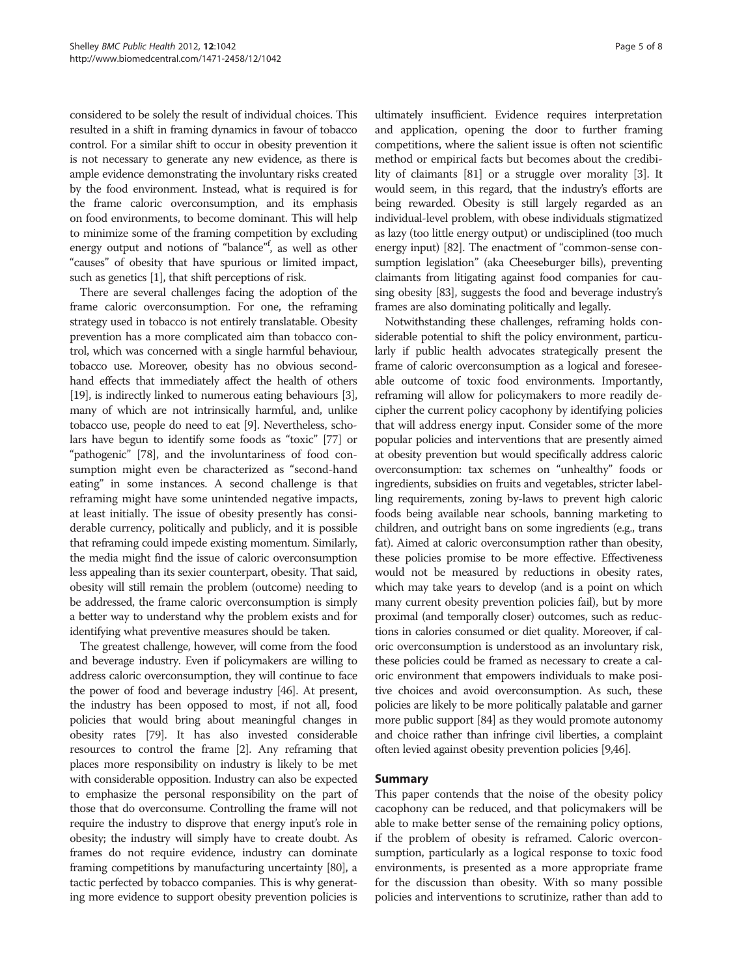considered to be solely the result of individual choices. This resulted in a shift in framing dynamics in favour of tobacco control. For a similar shift to occur in obesity prevention it is not necessary to generate any new evidence, as there is ample evidence demonstrating the involuntary risks created by the food environment. Instead, what is required is for the frame caloric overconsumption, and its emphasis on food environments, to become dominant. This will help to minimize some of the framing competition by excluding energy output and notions of "balance"<sup>f</sup>, as well as other "causes" of obesity that have spurious or limited impact, such as genetics [[1\]](#page-5-0), that shift perceptions of risk.

There are several challenges facing the adoption of the frame caloric overconsumption. For one, the reframing strategy used in tobacco is not entirely translatable. Obesity prevention has a more complicated aim than tobacco control, which was concerned with a single harmful behaviour, tobacco use. Moreover, obesity has no obvious secondhand effects that immediately affect the health of others [[19](#page-5-0)], is indirectly linked to numerous eating behaviours [[3](#page-5-0)], many of which are not intrinsically harmful, and, unlike tobacco use, people do need to eat [\[9\]](#page-5-0). Nevertheless, scholars have begun to identify some foods as "toxic" [\[77\]](#page-6-0) or "pathogenic" [\[78\]](#page-6-0), and the involuntariness of food consumption might even be characterized as "second-hand eating" in some instances. A second challenge is that reframing might have some unintended negative impacts, at least initially. The issue of obesity presently has considerable currency, politically and publicly, and it is possible that reframing could impede existing momentum. Similarly, the media might find the issue of caloric overconsumption less appealing than its sexier counterpart, obesity. That said, obesity will still remain the problem (outcome) needing to be addressed, the frame caloric overconsumption is simply a better way to understand why the problem exists and for identifying what preventive measures should be taken.

The greatest challenge, however, will come from the food and beverage industry. Even if policymakers are willing to address caloric overconsumption, they will continue to face the power of food and beverage industry [\[46](#page-6-0)]. At present, the industry has been opposed to most, if not all, food policies that would bring about meaningful changes in obesity rates [\[79\]](#page-6-0). It has also invested considerable resources to control the frame [[2](#page-5-0)]. Any reframing that places more responsibility on industry is likely to be met with considerable opposition. Industry can also be expected to emphasize the personal responsibility on the part of those that do overconsume. Controlling the frame will not require the industry to disprove that energy input's role in obesity; the industry will simply have to create doubt. As frames do not require evidence, industry can dominate framing competitions by manufacturing uncertainty [\[80\]](#page-7-0), a tactic perfected by tobacco companies. This is why generating more evidence to support obesity prevention policies is

ultimately insufficient. Evidence requires interpretation and application, opening the door to further framing competitions, where the salient issue is often not scientific method or empirical facts but becomes about the credibility of claimants [[81](#page-7-0)] or a struggle over morality [[3\]](#page-5-0). It would seem, in this regard, that the industry's efforts are being rewarded. Obesity is still largely regarded as an individual-level problem, with obese individuals stigmatized as lazy (too little energy output) or undisciplined (too much energy input) [\[82\]](#page-7-0). The enactment of "common-sense consumption legislation" (aka Cheeseburger bills), preventing claimants from litigating against food companies for causing obesity [\[83\]](#page-7-0), suggests the food and beverage industry's frames are also dominating politically and legally.

Notwithstanding these challenges, reframing holds considerable potential to shift the policy environment, particularly if public health advocates strategically present the frame of caloric overconsumption as a logical and foreseeable outcome of toxic food environments. Importantly, reframing will allow for policymakers to more readily decipher the current policy cacophony by identifying policies that will address energy input. Consider some of the more popular policies and interventions that are presently aimed at obesity prevention but would specifically address caloric overconsumption: tax schemes on "unhealthy" foods or ingredients, subsidies on fruits and vegetables, stricter labelling requirements, zoning by-laws to prevent high caloric foods being available near schools, banning marketing to children, and outright bans on some ingredients (e.g., trans fat). Aimed at caloric overconsumption rather than obesity, these policies promise to be more effective. Effectiveness would not be measured by reductions in obesity rates, which may take years to develop (and is a point on which many current obesity prevention policies fail), but by more proximal (and temporally closer) outcomes, such as reductions in calories consumed or diet quality. Moreover, if caloric overconsumption is understood as an involuntary risk, these policies could be framed as necessary to create a caloric environment that empowers individuals to make positive choices and avoid overconsumption. As such, these policies are likely to be more politically palatable and garner more public support [[84](#page-7-0)] as they would promote autonomy and choice rather than infringe civil liberties, a complaint often levied against obesity prevention policies [[9](#page-5-0)[,46\]](#page-6-0).

## Summary

This paper contends that the noise of the obesity policy cacophony can be reduced, and that policymakers will be able to make better sense of the remaining policy options, if the problem of obesity is reframed. Caloric overconsumption, particularly as a logical response to toxic food environments, is presented as a more appropriate frame for the discussion than obesity. With so many possible policies and interventions to scrutinize, rather than add to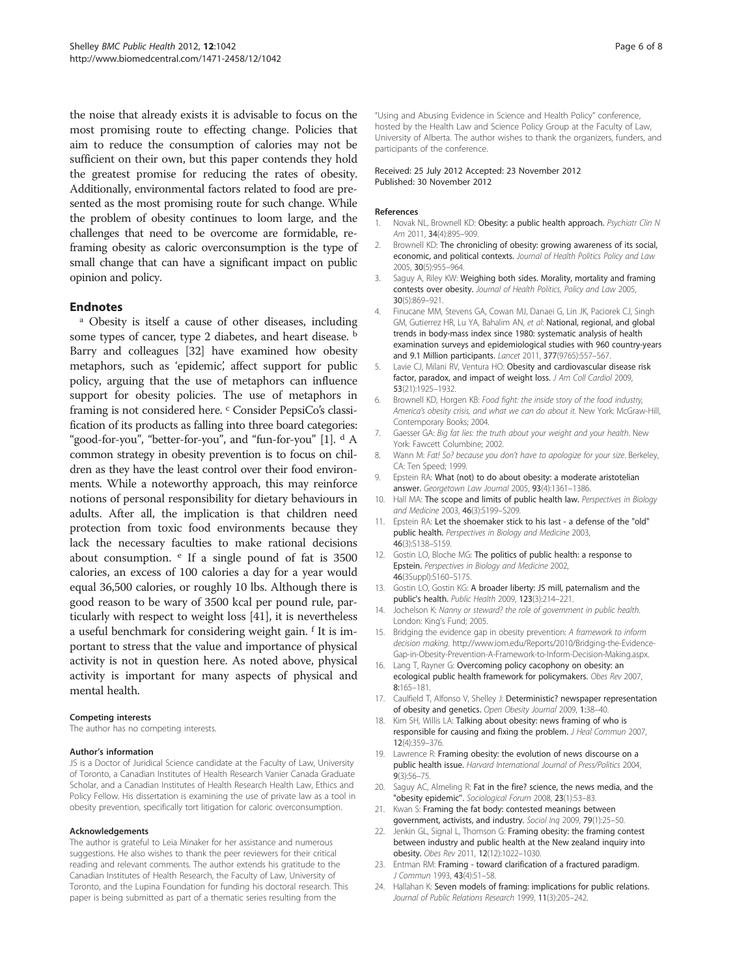<span id="page-5-0"></span>the noise that already exists it is advisable to focus on the most promising route to effecting change. Policies that aim to reduce the consumption of calories may not be sufficient on their own, but this paper contends they hold the greatest promise for reducing the rates of obesity. Additionally, environmental factors related to food are presented as the most promising route for such change. While the problem of obesity continues to loom large, and the challenges that need to be overcome are formidable, reframing obesity as caloric overconsumption is the type of small change that can have a significant impact on public opinion and policy.

## Endnotes

<sup>a</sup> Obesity is itself a cause of other diseases, including some types of cancer, type 2 diabetes, and heart disease. **b** Barry and colleagues [[32](#page-6-0)] have examined how obesity metaphors, such as 'epidemic', affect support for public policy, arguing that the use of metaphors can influence support for obesity policies. The use of metaphors in framing is not considered here. <sup>c</sup> Consider PepsiCo's classification of its products as falling into three board categories: "good-for-you", "better-for-you", and "fun-for-you"  $[1]$ .  $d A$ common strategy in obesity prevention is to focus on children as they have the least control over their food environments. While a noteworthy approach, this may reinforce notions of personal responsibility for dietary behaviours in adults. After all, the implication is that children need protection from toxic food environments because they lack the necessary faculties to make rational decisions about consumption. <sup>e</sup> If a single pound of fat is 3500 calories, an excess of 100 calories a day for a year would equal 36,500 calories, or roughly 10 lbs. Although there is good reason to be wary of 3500 kcal per pound rule, particularly with respect to weight loss [\[41\]](#page-6-0), it is nevertheless a useful benchmark for considering weight gain. <sup>f</sup> It is important to stress that the value and importance of physical activity is not in question here. As noted above, physical activity is important for many aspects of physical and mental health.

#### Competing interests

The author has no competing interests.

#### Author's information

JS is a Doctor of Juridical Science candidate at the Faculty of Law, University of Toronto, a Canadian Institutes of Health Research Vanier Canada Graduate Scholar, and a Canadian Institutes of Health Research Health Law, Ethics and Policy Fellow. His dissertation is examining the use of private law as a tool in obesity prevention, specifically tort litigation for caloric overconsumption.

#### Acknowledgements

The author is grateful to Leia Minaker for her assistance and numerous suggestions. He also wishes to thank the peer reviewers for their critical reading and relevant comments. The author extends his gratitude to the Canadian Institutes of Health Research, the Faculty of Law, University of Toronto, and the Lupina Foundation for funding his doctoral research. This paper is being submitted as part of a thematic series resulting from the

"Using and Abusing Evidence in Science and Health Policy" conference, hosted by the Health Law and Science Policy Group at the Faculty of Law, University of Alberta. The author wishes to thank the organizers, funders, and participants of the conference.

#### Received: 25 July 2012 Accepted: 23 November 2012 Published: 30 November 2012

#### References

- 1. Novak NL, Brownell KD: Obesity: a public health approach. Psychiatr Clin N Am 2011, 34(4):895–909.
- 2. Brownell KD: The chronicling of obesity: growing awareness of its social, economic, and political contexts. Journal of Health Politics Policy and Law 2005, 30(5):955–964.
- 3. Saguy A, Riley KW: Weighing both sides. Morality, mortality and framing contests over obesity. Journal of Health Politics, Policy and Law 2005, 30(5):869–921.
- 4. Finucane MM, Stevens GA, Cowan MJ, Danaei G, Lin JK, Paciorek CJ, Singh GM, Gutierrez HR, Lu YA, Bahalim AN, et al: National, regional, and global trends in body-mass index since 1980: systematic analysis of health examination surveys and epidemiological studies with 960 country-years and 9.1 Million participants. Lancet 2011, 377(9765):557–567.
- 5. Lavie CJ, Milani RV, Ventura HO: Obesity and cardiovascular disease risk factor, paradox, and impact of weight loss. J Am Coll Cardiol 2009, 53(21):1925–1932.
- 6. Brownell KD, Horgen KB: Food fight: the inside story of the food industry, America's obesity crisis, and what we can do about it. New York: McGraw-Hill, Contemporary Books; 2004.
- 7. Gaesser GA: Big fat lies: the truth about your weight and your health. New York: Fawcett Columbine; 2002.
- 8. Wann M: Fat! So? because you don't have to apologize for your size. Berkeley, CA: Ten Speed; 1999.
- 9. Epstein RA: What (not) to do about obesity: a moderate aristotelian answer. Georgetown Law Journal 2005, 93(4):1361–1386.
- 10. Hall MA: The scope and limits of public health law. Perspectives in Biology and Medicine 2003, 46(3):S199–S209.
- 11. Epstein RA: Let the shoemaker stick to his last a defense of the "old" public health. Perspectives in Biology and Medicine 2003, 46(3):S138–S159.
- 12. Gostin LO, Bloche MG: The politics of public health: a response to Epstein. Perspectives in Biology and Medicine 2002, 46(3Suppl):S160–S175.
- 13. Gostin LO, Gostin KG: A broader liberty: JS mill, paternalism and the public's health. Public Health 2009, 123(3):214–221.
- 14. Jochelson K: Nanny or steward? the role of government in public health. London: King's Fund; 2005.
- 15. Bridging the evidence gap in obesity prevention: A framework to inform decision making. [http://www.iom.edu/Reports/2010/Bridging-the-Evidence-](http://www.iom.edu/Reports/2010/Bridging-the-Evidence-Gap-in-Obesity-Prevention-A-Framework-to-Inform-Decision-Making.aspx)[Gap-in-Obesity-Prevention-A-Framework-to-Inform-Decision-Making.aspx.](http://www.iom.edu/Reports/2010/Bridging-the-Evidence-Gap-in-Obesity-Prevention-A-Framework-to-Inform-Decision-Making.aspx)
- 16. Lang T, Rayner G: Overcoming policy cacophony on obesity: an ecological public health framework for policymakers. Obes Rev 2007, 8:165–181.
- 17. Caulfield T, Alfonso V, Shelley J: Deterministic? newspaper representation of obesity and genetics. Open Obesity Journal 2009, 1:38–40.
- 18. Kim SH, Willis LA: Talking about obesity: news framing of who is responsible for causing and fixing the problem. J Heal Commun 2007, 12(4):359–376.
- 19. Lawrence R: Framing obesity: the evolution of news discourse on a public health issue. Harvard International Journal of Press/Politics 2004, 9(3):56–75.
- 20. Saguy AC, Almeling R: Fat in the fire? science, the news media, and the "obesity epidemic''. Sociological Forum 2008, 23(1):53–83.
- 21. Kwan S: Framing the fat body: contested meanings between government, activists, and industry. Sociol Inq 2009, 79(1):25–50.
- 22. Jenkin GL, Signal L, Thomson G: Framing obesity: the framing contest between industry and public health at the New zealand inquiry into obesity. Obes Rev 2011, 12(12):1022–1030.
- 23. Entman RM: Framing toward clarification of a fractured paradigm. J Commun 1993, 43(4):51–58.
- 24. Hallahan K: Seven models of framing: implications for public relations. Journal of Public Relations Research 1999, 11(3):205–242.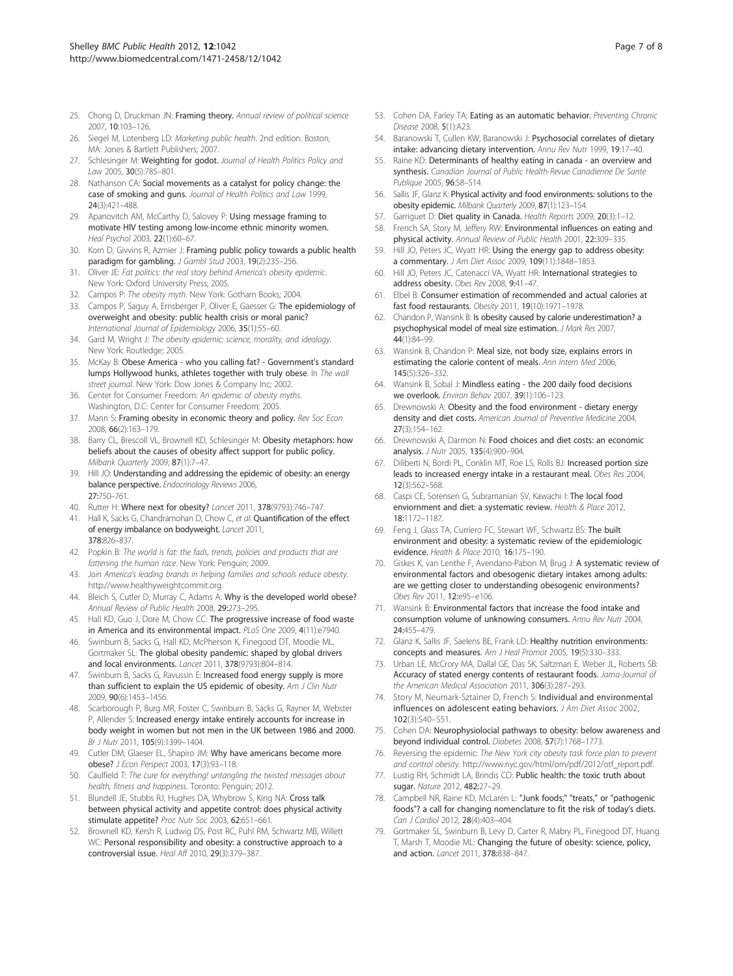- <span id="page-6-0"></span>25. Chong D, Druckman JN: Framing theory. Annual review of political science 2007, 10:103–126.
- 26. Siegel M, Lotenberg LD: Marketing public health. 2nd edition. Boston, MA: Jones & Bartlett Publishers; 2007.
- 27. Schlesinger M: Weighting for godot. Journal of Health Politics Policy and Law 2005, 30(5):785–801.
- 28. Nathanson CA: Social movements as a catalyst for policy change: the case of smoking and guns. Journal of Health Politics and Law 1999, 24(3):421–488.
- 29. Apanovitch AM, McCarthy D, Salovey P: Using message framing to motivate HIV testing among low-income ethnic minority women. Heal Psychol 2003, 22(1):60–67.
- 30. Korn D, Givvins R, Azmier J: Framing public policy towards a public health paradigm for gambling. J Gambl Stud 2003, 19(2):235-256.
- 31. Oliver JE: Fat politics: the real story behind America's obesity epidemic. New York: Oxford University Press; 2005.
- 32. Campos P: The obesity myth. New York: Gotham Books; 2004.
- 33. Campos P, Saguy A, Ernsberger P, Oliver E, Gaesser G: The epidemiology of overweight and obesity: public health crisis or moral panic? International Journal of Epidemiology 2006, 35(1):55–60.
- 34. Gard M, Wright J: The obesity epidemic: science, morality, and ideology. New York: Routledge; 2005.
- 35. McKay B: Obese America who you calling fat? Government's standard lumps Hollywood hunks, athletes together with truly obese. In The wall street journal. New York: Dow Jones & Company Inc; 2002.
- 36. Center for Consumer Freedom: An epidemic of obesity myths. Washington, D.C: Center for Consumer Freedom; 2005.
- 37. Mann S: Framing obesity in economic theory and policy. Rev Soc Econ 2008, 66(2):163–179.
- 38. Barry CL, Brescoll VL, Brownell KD, Schlesinger M: Obesity metaphors: how beliefs about the causes of obesity affect support for public policy. Milbank Quarterly 2009, 87(1):7–47.
- 39. Hill JO: Understanding and addressing the epidemic of obesity: an energy balance perspective. Endocrinology Reviews 2006, 27:750–761.
- 40. Rutter H: Where next for obesity? Lancet 2011, 378(9793):746–747.
- 41. Hall K, Sacks G, Chandramohan D, Chow C, et al: Quantification of the effect of energy imbalance on bodyweight. Lancet 2011, 378:826–837.
- 42. Popkin B: The world is fat: the fads, trends, policies and products that are fattening the human race. New York: Penguin; 2009.
- 43. Join America's leading brands in helping families and schools reduce obesity. [http://www.healthyweightcommit.org.](http://www.healthyweightcommit.org)
- 44. Bleich S, Cutler D, Murray C, Adams A: Why is the developed world obese? Annual Review of Public Health 2008, 29:273–295.
- 45. Hall KD, Guo J, Dore M, Chow CC: The progressive increase of food waste in America and its environmental impact. PLoS One 2009, 4(11):e7940.
- 46. Swinburn B, Sacks G, Hall KD, McPherson K, Finegood DT, Moodie ML, Gortmaker SL: The global obesity pandemic: shaped by global drivers and local environments. Lancet 2011, 378(9793):804–814.
- 47. Swinburn B, Sacks G, Ravussin E: Increased food energy supply is more than sufficient to explain the US epidemic of obesity. Am J Clin Nutr 2009, 90(6):1453–1456.
- 48. Scarborough P, Burg MR, Foster C, Swinburn B, Sacks G, Rayner M, Webster P, Allender S: Increased energy intake entirely accounts for increase in body weight in women but not men in the UK between 1986 and 2000. Br J Nutr 2011, 105(9):1399–1404.
- 49. Cutler DM, Glaeser EL, Shapiro JM: Why have americans become more obese? J Econ Perspect 2003, 17(3):93–118.
- 50. Caulfield T: The cure for everything! untangling the twisted messages about health, fitness and happiness. Toronto: Penguin; 2012.
- 51. Blundell JE, Stubbs RJ, Hughes DA, Whybrow S, King NA: Cross talk between physical activity and appetite control: does physical activity stimulate appetite? Proc Nutr Soc 2003, 62:651-661.
- 52. Brownell KD, Kersh R, Ludwig DS, Post RC, Puhl RM, Schwartz MB, Willett WC: Personal responsibility and obesity: a constructive approach to a controversial issue. Heal Aff 2010, 29(3):379–387.
- 53. Cohen DA, Farley TA: Eating as an automatic behavior. Preventing Chronic Disease 2008, 5(1):A23.
- 54. Baranowski T, Cullen KW, Baranowski J: Psychosocial correlates of dietary intake: advancing dietary intervention. Annu Rev Nutr 1999, 19:17–40.
- 55. Raine KD: Determinants of healthy eating in canada an overview and synthesis. Canadian Journal of Public Health-Revue Canadienne De Sante Publique 2005, 96:S8–S14.
- 56. Sallis JF, Glanz K: Physical activity and food environments: solutions to the obesity epidemic. Milbank Quarterly 2009, 87(1):123–154.
- 57. Garriguet D: Diet quality in Canada. Health Reports 2009, 20(3):1–12.
- 58. French SA, Story M, Jeffery RW: Environmental influences on eating and physical activity. Annual Review of Public Health 2001, 22:309–335.
- 59. Hill JO, Peters JC, Wyatt HR: Using the energy gap to address obesity: a commentary. J Am Diet Assoc 2009, 109(11):1848–1853.
- 60. Hill JO, Peters JC, Catenacci VA, Wyatt HR: International strategies to address obesity. Obes Rev 2008, 9:41–47.
- 61. Elbel B: Consumer estimation of recommended and actual calories at fast food restaurants. Obesity 2011, 19(10):1971–1978.
- 62. Chandon P, Wansink B: Is obesity caused by calorie underestimation? a psychophysical model of meal size estimation. J Mark Res 2007, 44(1):84–99.
- 63. Wansink B, Chandon P: Meal size, not body size, explains errors in estimating the calorie content of meals. Ann Intern Med 2006, 145(5):326–332.
- 64. Wansink B, Sobal J: Mindless eating the 200 daily food decisions we overlook. Environ Behav 2007, 39(1):106-123.
- 65. Drewnowski A: Obesity and the food environment dietary energy density and diet costs. American Journal of Preventive Medicine 2004, 27(3):154–162.
- 66. Drewnowski A, Darmon N: Food choices and diet costs: an economic analysis. J Nutr 2005, 135(4):900–904.
- 67. Diliberti N, Bordi PL, Conklin MT, Roe LS, Rolls BJ: Increased portion size leads to increased energy intake in a restaurant meal. Obes Res 2004, 12(3):562–568.
- 68. Caspi CE, Sorensen G, Subramanian SV, Kawachi I: The local food enviornment and diet: a systematic review. Health & Place 2012, 18:1172–1187.
- 69. Feng J, Glass TA, Curriero FC, Stewart WF, Schwartz BS: The built environment and obesity: a systematic review of the epidemiologic evidence. Health & Place 2010, 16:175–190.
- 70. Giskes K, van Lenthe F, Avendano-Pabon M, Brug J: A systematic review of environmental factors and obesogenic dietary intakes among adults: are we getting closer to understanding obesogenic environments? Obes Rev 2011, 12:e95–e106.
- 71. Wansink B: Environmental factors that increase the food intake and consumption volume of unknowing consumers. Annu Rev Nutr 2004, 24:455–479.
- 72. Glanz K, Sallis JF, Saelens BE, Frank LD: Healthy nutrition environments: concepts and measures. Am J Heal Promot 2005, 19(5):330–333.
- 73. Urban LE, McCrory MA, Dallal GE, Das SK, Saltzman E, Weber JL, Roberts SB: Accuracy of stated energy contents of restaurant foods. Jama-Journal of the American Medical Association 2011, 306(3):287–293.
- 74. Story M, Neumark-Sztainer D, French S: Individual and environmental influences on adolescent eating behaviors. J Am Diet Assoc 2002, 102(3):S40–S51.
- 75. Cohen DA: Neurophysiolocial pathways to obesity: below awareness and beyond individual control. Diabetes 2008, 57(7):1768–1773.
- 76. Reversing the epidemic: The New York city obesity task force plan to prevent and control obesity. [http://www.nyc.gov/html/om/pdf/2012/otf\\_report.pdf](http://www.nyc.gov/html/om/pdf/2012/otf_report.pdf).
- 77. Lustig RH, Schmidt LA, Brindis CD: Public health: the toxic truth about sugar. Nature 2012, 482:27-29.
- 78. Campbell NR, Raine KD, McLaren L: "Junk foods," "treats," or "pathogenic foods"? a call for changing nomenclature to fit the risk of today's diets. Can J Cardiol 2012, 28(4):403–404.
- 79. Gortmaker SL, Swinburn B, Levy D, Carter R, Mabry PL, Finegood DT, Huang T, Marsh T, Moodie ML: Changing the future of obesity: science, policy, and action. Lancet 2011, 378:838–847.